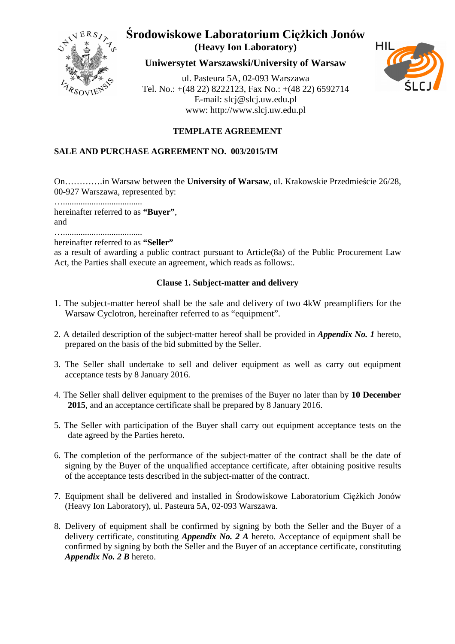

**Uniwersytet Warszawski/University of Warsaw**

ul. Pasteura 5A, 02-093 Warszawa Tel. No.: +(48 22) 8222123, Fax No.: +(48 22) 6592714 E-mail: slcj@slcj.uw.edu.pl www: http://www.slcj.uw.edu.pl



## **TEMPLATE AGREEMENT**

### **SALE AND PURCHASE AGREEMENT NO. 003/2015/IM**

On………….in Warsaw between the **University of Warsaw**, ul. Krakowskie Przedmieście 26/28, 00-927 Warszawa, represented by:

…....................................

hereinafter referred to as **"Buyer"**, and

….................................... hereinafter referred to as **"Seller"**

as a result of awarding a public contract pursuant to Article(8a) of the Public Procurement Law Act, the Parties shall execute an agreement, which reads as follows:.

### **Clause 1. Subject-matter and delivery**

- 1. The subject-matter hereof shall be the sale and delivery of two 4kW preamplifiers for the Warsaw Cyclotron, hereinafter referred to as "equipment".
- 2. A detailed description of the subject-matter hereof shall be provided in *Appendix No. 1* hereto, prepared on the basis of the bid submitted by the Seller.
- 3. The Seller shall undertake to sell and deliver equipment as well as carry out equipment acceptance tests by 8 January 2016.
- 4. The Seller shall deliver equipment to the premises of the Buyer no later than by **10 December 2015**, and an acceptance certificate shall be prepared by 8 January 2016.
- 5. The Seller with participation of the Buyer shall carry out equipment acceptance tests on the date agreed by the Parties hereto.
- 6. The completion of the performance of the subject-matter of the contract shall be the date of signing by the Buyer of the unqualified acceptance certificate, after obtaining positive results of the acceptance tests described in the subject-matter of the contract.
- 7. Equipment shall be delivered and installed in Środowiskowe Laboratorium Ciężkich Jonów (Heavy Ion Laboratory), ul. Pasteura 5A, 02-093 Warszawa.
- 8. Delivery of equipment shall be confirmed by signing by both the Seller and the Buyer of a delivery certificate, constituting *Appendix No. 2 A* hereto. Acceptance of equipment shall be confirmed by signing by both the Seller and the Buyer of an acceptance certificate, constituting *Appendix No. 2 B* hereto.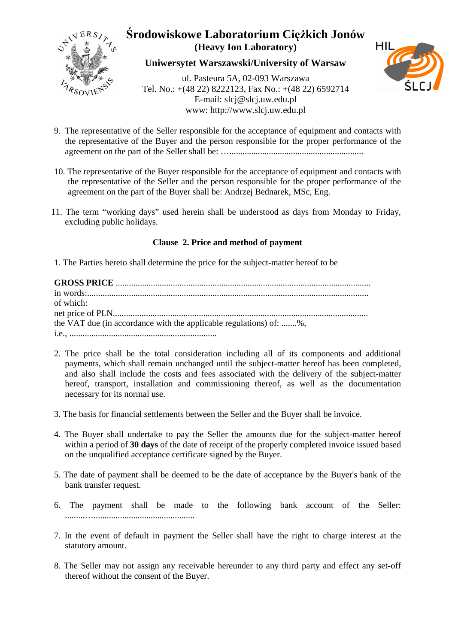

**Uniwersytet Warszawski/University of Warsaw**

ul. Pasteura 5A, 02-093 Warszawa Tel. No.: +(48 22) 8222123, Fax No.: +(48 22) 6592714 E-mail: slcj@slcj.uw.edu.pl www: http://www.slcj.uw.edu.pl



- 9. The representative of the Seller responsible for the acceptance of equipment and contacts with the representative of the Buyer and the person responsible for the proper performance of the agreement on the part of the Seller shall be: ….............................................................
- 10. The representative of the Buyer responsible for the acceptance of equipment and contacts with the representative of the Seller and the person responsible for the proper performance of the agreement on the part of the Buyer shall be: Andrzej Bednarek, MSc, Eng.
- 11. The term "working days" used herein shall be understood as days from Monday to Friday, excluding public holidays.

### **Clause 2. Price and method of payment**

1. The Parties hereto shall determine the price for the subject-matter hereof to be

| of which:                                                          |
|--------------------------------------------------------------------|
|                                                                    |
| the VAT due (in accordance with the applicable regulations) of: %, |
|                                                                    |

- 2. The price shall be the total consideration including all of its components and additional payments, which shall remain unchanged until the subject-matter hereof has been completed, and also shall include the costs and fees associated with the delivery of the subject-matter hereof, transport, installation and commissioning thereof, as well as the documentation necessary for its normal use.
- 3. The basis for financial settlements between the Seller and the Buyer shall be invoice.
- 4. The Buyer shall undertake to pay the Seller the amounts due for the subject-matter hereof within a period of **30 days** of the date of receipt of the properly completed invoice issued based on the unqualified acceptance certificate signed by the Buyer.
- 5. The date of payment shall be deemed to be the date of acceptance by the Buyer's bank of the bank transfer request.
- 6. The payment shall be made to the following bank account of the Seller: .........…..............................................
- 7. In the event of default in payment the Seller shall have the right to charge interest at the statutory amount.
- 8. The Seller may not assign any receivable hereunder to any third party and effect any set-off thereof without the consent of the Buyer.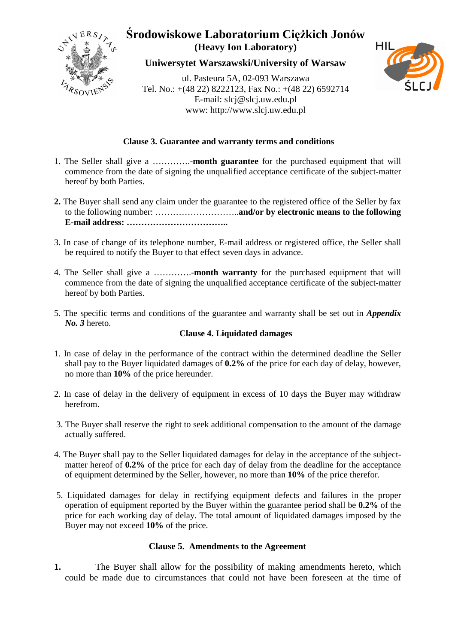

**Uniwersytet Warszawski/University of Warsaw**

ul. Pasteura 5A, 02-093 Warszawa Tel. No.: +(48 22) 8222123, Fax No.: +(48 22) 6592714 E-mail: slcj@slcj.uw.edu.pl www: http://www.slcj.uw.edu.pl



### **Clause 3. Guarantee and warranty terms and conditions**

- 1. The Seller shall give a ………….**-month guarantee** for the purchased equipment that will commence from the date of signing the unqualified acceptance certificate of the subject-matter hereof by both Parties.
- **2.** The Buyer shall send any claim under the guarantee to the registered office of the Seller by fax to the following number: ………………………..**and/or by electronic means to the following E-mail address: ……………………………..**
- 3. In case of change of its telephone number, E-mail address or registered office, the Seller shall be required to notify the Buyer to that effect seven days in advance.
- 4. The Seller shall give a ………….-**month warranty** for the purchased equipment that will commence from the date of signing the unqualified acceptance certificate of the subject-matter hereof by both Parties.
- 5. The specific terms and conditions of the guarantee and warranty shall be set out in *Appendix No. 3* hereto.

### **Clause 4. Liquidated damages**

- 1. In case of delay in the performance of the contract within the determined deadline the Seller shall pay to the Buyer liquidated damages of **0.2%** of the price for each day of delay, however, no more than **10%** of the price hereunder.
- 2. In case of delay in the delivery of equipment in excess of 10 days the Buyer may withdraw herefrom.
- 3. The Buyer shall reserve the right to seek additional compensation to the amount of the damage actually suffered.
- 4. The Buyer shall pay to the Seller liquidated damages for delay in the acceptance of the subjectmatter hereof of **0.2%** of the price for each day of delay from the deadline for the acceptance of equipment determined by the Seller, however, no more than **10%** of the price therefor.
- 5. Liquidated damages for delay in rectifying equipment defects and failures in the proper operation of equipment reported by the Buyer within the guarantee period shall be **0.2%** of the price for each working day of delay. The total amount of liquidated damages imposed by the Buyer may not exceed **10%** of the price.

#### **Clause 5. Amendments to the Agreement**

**1.** The Buyer shall allow for the possibility of making amendments hereto, which could be made due to circumstances that could not have been foreseen at the time of